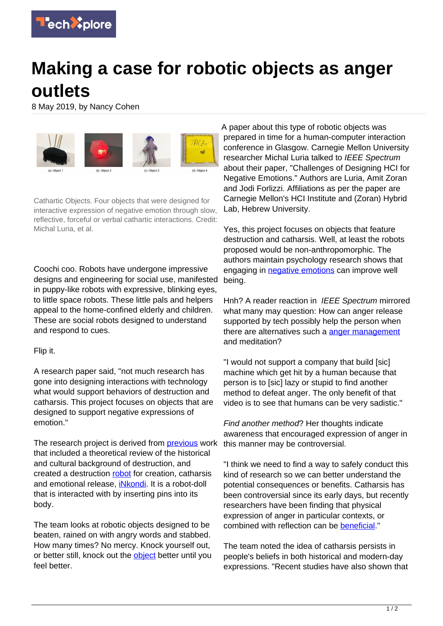

## **Making a case for robotic objects as anger outlets**

8 May 2019, by Nancy Cohen



Cathartic Objects. Four objects that were designed for interactive expression of negative emotion through slow, reflective, forceful or verbal cathartic interactions. Credit: Michal Luria, et al.

Coochi coo. Robots have undergone impressive designs and engineering for social use, manifested in puppy-like robots with expressive, blinking eyes, to little space robots. These little pals and helpers appeal to the home-confined elderly and children. These are social robots designed to understand and respond to cues.

## Flip it.

A research paper said, "not much research has gone into designing interactions with technology what would support behaviors of destruction and catharsis. This project focuses on objects that are designed to support negative expressions of emotion."

The research project is derived from **previous** work that included a theoretical review of the historical and cultural background of destruction, and created a destruction [robot](https://techxplore.com/tags/robot/) for creation, catharsis and emotional release, *[iNkondi](http://www.michalluria.com/index.php/portfolio/inkondi/)*. It is a robot-doll that is interacted with by inserting pins into its body.

The team looks at robotic objects designed to be beaten, rained on with angry words and stabbed. How many times? No mercy. Knock yourself out, or better still, knock out the **[object](https://techxplore.com/tags/object/)** better until you feel better.

A paper about this type of robotic objects was prepared in time for a human-computer interaction conference in Glasgow. Carnegie Mellon University researcher Michal Luria talked to IEEE Spectrum about their paper, "Challenges of Designing HCI for Negative Emotions." Authors are Luria, Amit Zoran and Jodi Forlizzi. Affiliations as per the paper are Carnegie Mellon's HCI Institute and (Zoran) Hybrid Lab, Hebrew University.

Yes, this project focuses on objects that feature destruction and catharsis. Well, at least the robots proposed would be non-anthropomorphic. The authors maintain psychology research shows that engaging in **negative emotions** can improve well being.

Hnh? A reader reaction in IEEE Spectrum mirrored what many may question: How can anger release supported by tech possibly help the person when there are alternatives such a [anger management](https://techxplore.com/tags/anger+management/) and meditation?

"I would not support a company that build [sic] machine which get hit by a human because that person is to [sic] lazy or stupid to find another method to defeat anger. The only benefit of that video is to see that humans can be very sadistic."

Find another method? Her thoughts indicate awareness that encouraged expression of anger in this manner may be controversial.

"I think we need to find a way to safely conduct this kind of research so we can better understand the potential consequences or benefits. Catharsis has been controversial since its early days, but recently researchers have been finding that physical expression of anger in particular contexts, or combined with reflection can be [beneficial](https://spectrum.ieee.org/automaton/robotics/home-robots/these-robotic-objects-are-designed-to-be-stabbed-and-beaten-to-help-you-feel-better)."

The team noted the idea of catharsis persists in people's beliefs in both historical and modern-day expressions. "Recent studies have also shown that